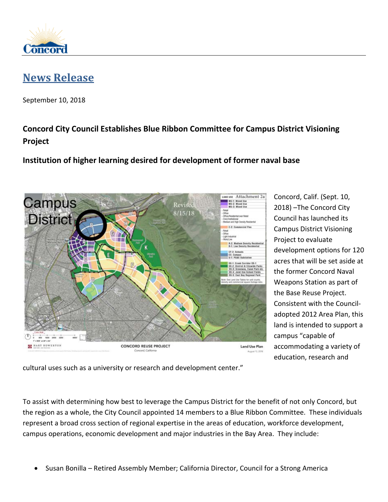

## **[News Release](http://www.cityofconcord.org/page.asp?pid=n00)**

September 10, 2018

## **Concord City Council Establishes Blue Ribbon Committee for Campus District Visioning Project**

## **Institution of higher learning desired for development of former naval base**



Concord, Calif. (Sept. 10, 2018) –The Concord City Council has launched its Campus District Visioning Project to evaluate development options for 120 acres that will be set aside at the former Concord Naval Weapons Station as part of the Base Reuse Project. Consistent with the Counciladopted 2012 Area Plan, this land is intended to support a campus "capable of accommodating a variety of education, research and

cultural uses such as a university or research and development center."

To assist with determining how best to leverage the Campus District for the benefit of not only Concord, but the region as a whole, the City Council appointed 14 members to a Blue Ribbon Committee. These individuals represent a broad cross section of regional expertise in the areas of education, workforce development, campus operations, economic development and major industries in the Bay Area. They include:

• Susan Bonilla – Retired Assembly Member; California Director, Council for a Strong America